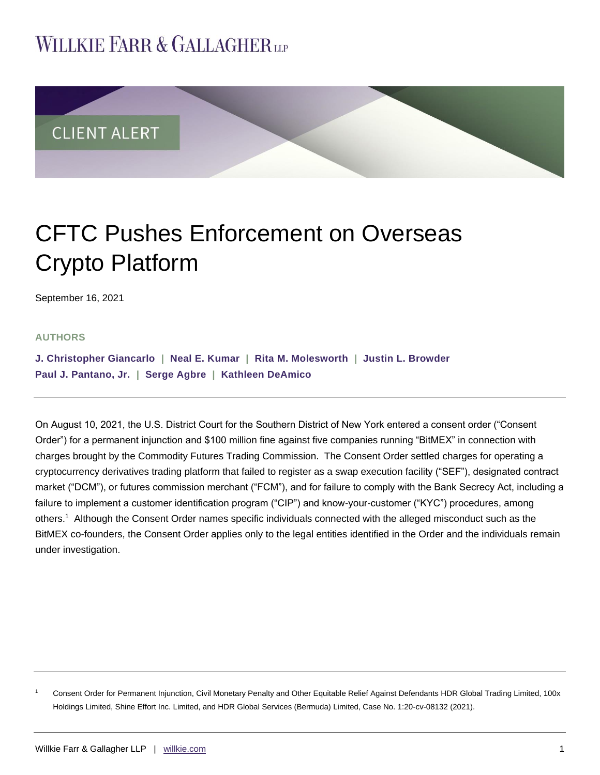## **WILLKIE FARR & GALLAGHERUP**



# CFTC Pushes Enforcement on Overseas Crypto Platform

September 16, 2021

### **AUTHORS**

**[J. Christopher Giancarlo](https://www.willkie.com/professionals/g/giancarlo-j-christopher) | [Neal E. Kumar](https://www.willkie.com/professionals/k/kumar-neal) | [Rita M. Molesworth](https://www.willkie.com/professionals/m/molesworth-rita-m) | [Justin L. Browder](https://www.willkie.com/professionals/b/browder-justin) [Paul J. Pantano, Jr.](https://www.willkie.com/professionals/p/pantano-paul) | [Serge Agbre](https://www.willkie.com/professionals/a/agbre-serge) | [Kathleen DeAmico](https://www.willkie.com/professionals/d/deamico-kathleen)**

On August 10, 2021, the U.S. District Court for the Southern District of New York entered a consent order ("Consent Order") for a permanent injunction and \$100 million fine against five companies running "BitMEX" in connection with charges brought by the Commodity Futures Trading Commission. The Consent Order settled charges for operating a cryptocurrency derivatives trading platform that failed to register as a swap execution facility ("SEF"), designated contract market ("DCM"), or futures commission merchant ("FCM"), and for failure to comply with the Bank Secrecy Act, including a failure to implement a customer identification program ("CIP") and know-your-customer ("KYC") procedures, among others.<sup>1</sup> Although the Consent Order names specific individuals connected with the alleged misconduct such as the BitMEX co-founders, the Consent Order applies only to the legal entities identified in the Order and the individuals remain under investigation.

<sup>1</sup> Consent Order for Permanent Injunction, Civil Monetary Penalty and Other Equitable Relief Against Defendants HDR Global Trading Limited, 100x Holdings Limited, Shine Effort Inc. Limited, and HDR Global Services (Bermuda) Limited, Case No. 1:20-cv-08132 (2021).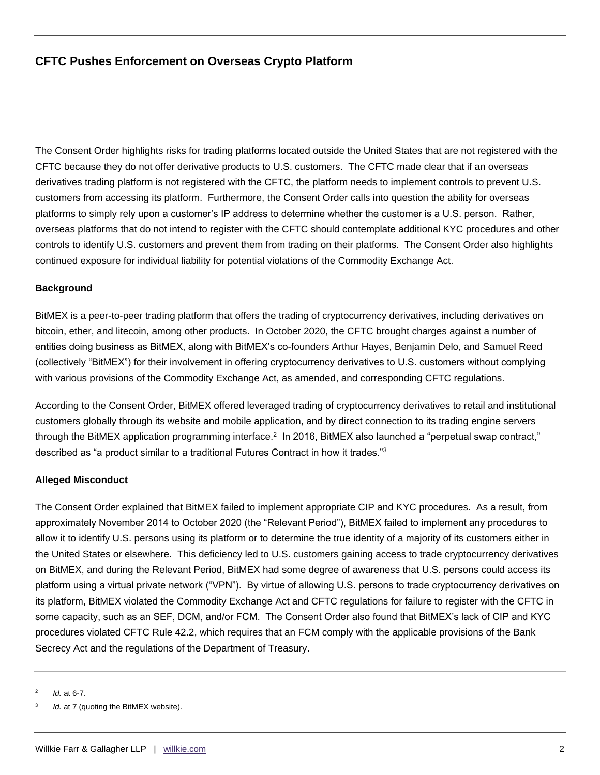The Consent Order highlights risks for trading platforms located outside the United States that are not registered with the CFTC because they do not offer derivative products to U.S. customers. The CFTC made clear that if an overseas derivatives trading platform is not registered with the CFTC, the platform needs to implement controls to prevent U.S. customers from accessing its platform. Furthermore, the Consent Order calls into question the ability for overseas platforms to simply rely upon a customer's IP address to determine whether the customer is a U.S. person. Rather, overseas platforms that do not intend to register with the CFTC should contemplate additional KYC procedures and other controls to identify U.S. customers and prevent them from trading on their platforms. The Consent Order also highlights continued exposure for individual liability for potential violations of the Commodity Exchange Act.

### **Background**

BitMEX is a peer-to-peer trading platform that offers the trading of cryptocurrency derivatives, including derivatives on bitcoin, ether, and litecoin, among other products. In October 2020, the CFTC brought charges against a number of entities doing business as BitMEX, along with BitMEX's co-founders Arthur Hayes, Benjamin Delo, and Samuel Reed (collectively "BitMEX") for their involvement in offering cryptocurrency derivatives to U.S. customers without complying with various provisions of the Commodity Exchange Act, as amended, and corresponding CFTC regulations.

According to the Consent Order, BitMEX offered leveraged trading of cryptocurrency derivatives to retail and institutional customers globally through its website and mobile application, and by direct connection to its trading engine servers through the BitMEX application programming interface. $^2\,$  In 2016, BitMEX also launched a "perpetual swap contract," described as "a product similar to a traditional Futures Contract in how it trades."<sup>3</sup>

#### **Alleged Misconduct**

The Consent Order explained that BitMEX failed to implement appropriate CIP and KYC procedures. As a result, from approximately November 2014 to October 2020 (the "Relevant Period"), BitMEX failed to implement any procedures to allow it to identify U.S. persons using its platform or to determine the true identity of a majority of its customers either in the United States or elsewhere. This deficiency led to U.S. customers gaining access to trade cryptocurrency derivatives on BitMEX, and during the Relevant Period, BitMEX had some degree of awareness that U.S. persons could access its platform using a virtual private network ("VPN"). By virtue of allowing U.S. persons to trade cryptocurrency derivatives on its platform, BitMEX violated the Commodity Exchange Act and CFTC regulations for failure to register with the CFTC in some capacity, such as an SEF, DCM, and/or FCM. The Consent Order also found that BitMEX's lack of CIP and KYC procedures violated CFTC Rule 42.2, which requires that an FCM comply with the applicable provisions of the Bank Secrecy Act and the regulations of the Department of Treasury.

2 *Id.* at 6-7.

<sup>3</sup> *Id.* at 7 (quoting the BitMEX website).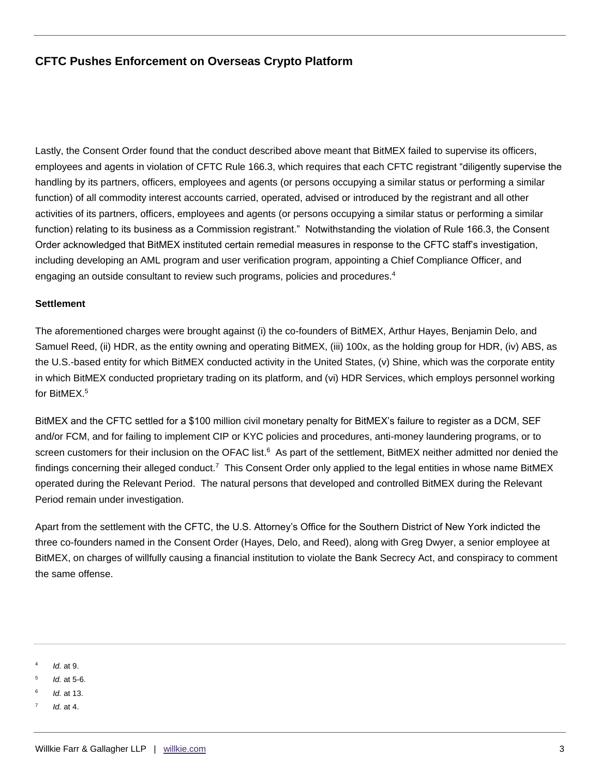Lastly, the Consent Order found that the conduct described above meant that BitMEX failed to supervise its officers, employees and agents in violation of CFTC Rule 166.3, which requires that each CFTC registrant "diligently supervise the handling by its partners, officers, employees and agents (or persons occupying a similar status or performing a similar function) of all commodity interest accounts carried, operated, advised or introduced by the registrant and all other activities of its partners, officers, employees and agents (or persons occupying a similar status or performing a similar function) relating to its business as a Commission registrant." Notwithstanding the violation of Rule 166.3, the Consent Order acknowledged that BitMEX instituted certain remedial measures in response to the CFTC staff's investigation, including developing an AML program and user verification program, appointing a Chief Compliance Officer, and engaging an outside consultant to review such programs, policies and procedures.<sup>4</sup>

#### **Settlement**

The aforementioned charges were brought against (i) the co-founders of BitMEX, Arthur Hayes, Benjamin Delo, and Samuel Reed, (ii) HDR, as the entity owning and operating BitMEX, (iii) 100x, as the holding group for HDR, (iv) ABS, as the U.S.-based entity for which BitMEX conducted activity in the United States, (v) Shine, which was the corporate entity in which BitMEX conducted proprietary trading on its platform, and (vi) HDR Services, which employs personnel working for BitMEX.<sup>5</sup>

BitMEX and the CFTC settled for a \$100 million civil monetary penalty for BitMEX's failure to register as a DCM, SEF and/or FCM, and for failing to implement CIP or KYC policies and procedures, anti-money laundering programs, or to screen customers for their inclusion on the OFAC list.<sup>6</sup> As part of the settlement, BitMEX neither admitted nor denied the findings concerning their alleged conduct.<sup>7</sup> This Consent Order only applied to the legal entities in whose name BitMEX operated during the Relevant Period. The natural persons that developed and controlled BitMEX during the Relevant Period remain under investigation.

Apart from the settlement with the CFTC, the U.S. Attorney's Office for the Southern District of New York indicted the three co-founders named in the Consent Order (Hayes, Delo, and Reed), along with Greg Dwyer, a senior employee at BitMEX, on charges of willfully causing a financial institution to violate the Bank Secrecy Act, and conspiracy to comment the same offense.

<sup>4</sup> *Id.* at 9.

<sup>5</sup> *Id.* at 5-6.

<sup>6</sup> *Id.* at 13.

<sup>7</sup> *Id.* at 4.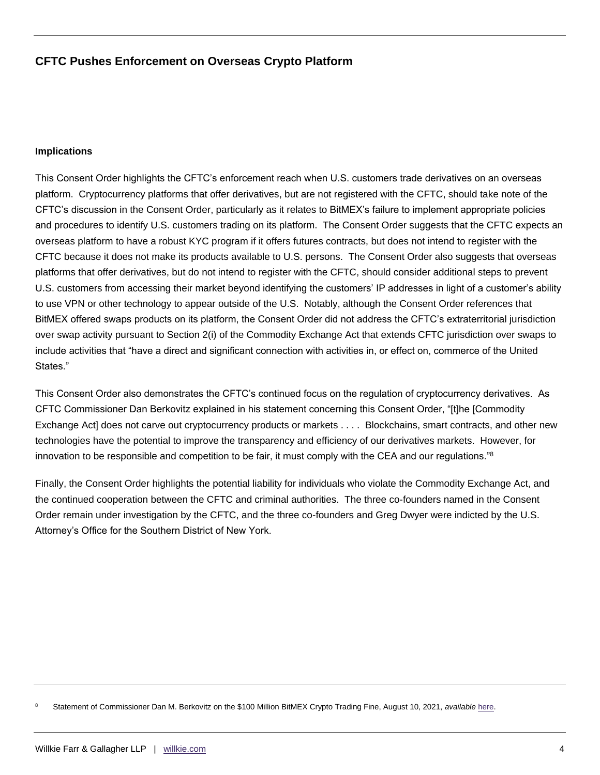#### **Implications**

This Consent Order highlights the CFTC's enforcement reach when U.S. customers trade derivatives on an overseas platform. Cryptocurrency platforms that offer derivatives, but are not registered with the CFTC, should take note of the CFTC's discussion in the Consent Order, particularly as it relates to BitMEX's failure to implement appropriate policies and procedures to identify U.S. customers trading on its platform. The Consent Order suggests that the CFTC expects an overseas platform to have a robust KYC program if it offers futures contracts, but does not intend to register with the CFTC because it does not make its products available to U.S. persons. The Consent Order also suggests that overseas platforms that offer derivatives, but do not intend to register with the CFTC, should consider additional steps to prevent U.S. customers from accessing their market beyond identifying the customers' IP addresses in light of a customer's ability to use VPN or other technology to appear outside of the U.S. Notably, although the Consent Order references that BitMEX offered swaps products on its platform, the Consent Order did not address the CFTC's extraterritorial jurisdiction over swap activity pursuant to Section 2(i) of the Commodity Exchange Act that extends CFTC jurisdiction over swaps to include activities that "have a direct and significant connection with activities in, or effect on, commerce of the United States."

This Consent Order also demonstrates the CFTC's continued focus on the regulation of cryptocurrency derivatives. As CFTC Commissioner Dan Berkovitz explained in his statement concerning this Consent Order, "[t]he [Commodity Exchange Act] does not carve out cryptocurrency products or markets . . . . Blockchains, smart contracts, and other new technologies have the potential to improve the transparency and efficiency of our derivatives markets. However, for innovation to be responsible and competition to be fair, it must comply with the CEA and our regulations."<sup>8</sup>

Finally, the Consent Order highlights the potential liability for individuals who violate the Commodity Exchange Act, and the continued cooperation between the CFTC and criminal authorities. The three co-founders named in the Consent Order remain under investigation by the CFTC, and the three co-founders and Greg Dwyer were indicted by the U.S. Attorney's Office for the Southern District of New York.

<sup>8</sup> Statement of Commissioner Dan M. Berkovitz on the \$100 Million BitMEX Crypto Trading Fine, August 10, 2021, *available* [here.](file://///usgfs02/xdhome/omahono/NRPortbl/NewYork/OMAHONO/at%20https:/www.cftc.gov/PressRoom/SpeechesTestimony/bertovitzstatement081021)